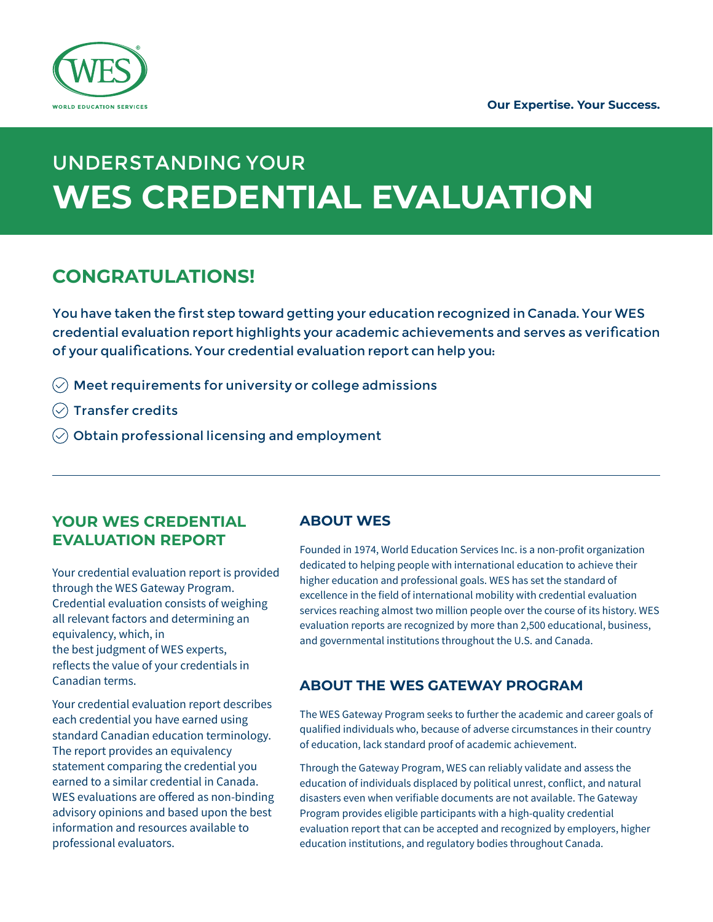

# UNDERSTANDING YOUR **WES CREDENTIAL EVALUATION**

# **CONGRATULATIONS!**

You have taken the first step toward getting your education recognized in Canada. Your WES credential evaluation report highlights your academic achievements and serves as verification of your qualifications. Your credential evaluation report can help you:

- $\oslash$  Meet requirements for university or college admissions
- $\oslash$  Transfer credits
- $\oslash$  Obtain professional licensing and employment

# **YOUR WES CREDENTIAL EVALUATION REPORT**

Your credential evaluation report is provided through the WES Gateway Program. Credential evaluation consists of weighing all relevant factors and determining an equivalency, which, in the best judgment of WES experts, reflects the value of your credentials in Canadian terms.

Your credential evaluation report describes each credential you have earned using standard Canadian education terminology. The report provides an equivalency statement comparing the credential you earned to a similar credential in Canada. WES evaluations are offered as non-binding advisory opinions and based upon the best information and resources available to professional evaluators.

# **ABOUT WES**

Founded in 1974, World Education Services Inc. is a non-profit organization dedicated to helping people with international education to achieve their higher education and professional goals. WES has set the standard of excellence in the field of international mobility with credential evaluation services reaching almost two million people over the course of its history. WES evaluation reports are recognized by more than 2,500 educational, business, and governmental institutions throughout the U.S. and Canada.

## **ABOUT THE WES GATEWAY PROGRAM**

The WES Gateway Program seeks to further the academic and career goals of qualified individuals who, because of adverse circumstances in their country of education, lack standard proof of academic achievement.

Through the Gateway Program, WES can reliably validate and assess the education of individuals displaced by political unrest, conflict, and natural disasters even when verifiable documents are not available. The Gateway Program provides eligible participants with a high-quality credential evaluation report that can be accepted and recognized by employers, higher education institutions, and regulatory bodies throughout Canada.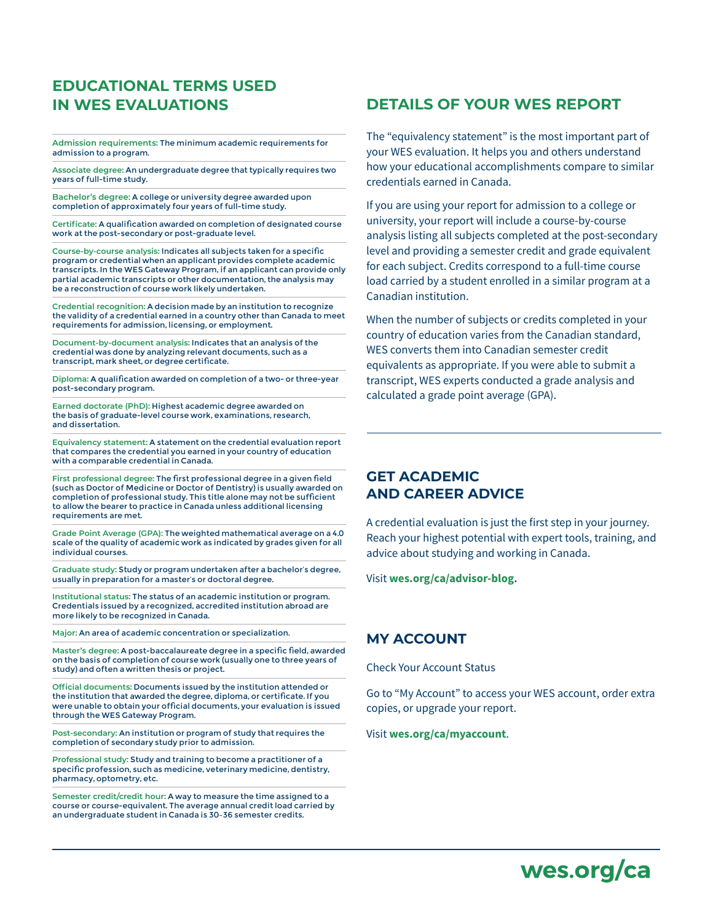# **EDUCATIONAL TERMS USED IN WES EVALUATIONS**

**Admission requirements:** The minimum academic requirements for admission to a program.

**Associate degree:** An undergraduate degree that typically requires two years of full-time study.

**Bachelor's degree:** A college or university degree awarded upon completion of approximately four years of full-time study.

**Certificate:** A qualification awarded on completion of designated course work at the post-secondary or post-graduate level.

**Course-by-course analysis:** Indicates all subjects taken for a specific program or credential when an applicant provides complete academic transcripts. In the WES Gateway Program, if an applicant can provide only partial academic transcripts or other documentation, the analysis may be a reconstruction of course work likely undertaken.

**Credential recognition:** A decision made by an institution to recognize the validity of a credential earned in a country other than Canada to meet requirements for admission, licensing, or employment.

**Document-by-document analysis:** Indicates that an analysis of the credential was done by analyzing relevant documents, such as a transcript, mark sheet, or degree certificate.

**Diploma:** A qualification awarded on completion of a two- or three-year post-secondary program.

**Earned doctorate (PhD):** Highest academic degree awarded on the basis of graduate-level course work, examinations, research, and dissertation.

**Equivalency statement:** A statement on the credential evaluation report that compares the credential you earned in your country of education with a comparable credential in Canada.

**First professional degree:** The first professional degree in a given field (such as Doctor of Medicine or Doctor of Dentistry) is usually awarded on completion of professional study. This title alone may not be sufficient to allow the bearer to practice in Canada unless additional licensing requirements are met.

**Grade Point Average (GPA):** The weighted mathematical average on a 4.0 scale of the quality of academic work as indicated by grades given for all individual courses.

**Graduate study:** Study or program undertaken after a bachelor's degree, usually in preparation for a master's or doctoral degree.

**Institutional status:** The status of an academic institution or program. Credentials issued by a recognized, accredited institution abroad are more likely to be recognized in Canada.

**Major:** An area of academic concentration or specialization.

**Master's degree:** A post-baccalaureate degree in a specific field, awarded on the basis of completion of course work (usually one to three years of study) and often a written thesis or project.

**Official documents:** Documents issued by the institution attended or the institution that awarded the degree, diploma, or certificate. If you were unable to obtain your official documents, your evaluation is issued through the WES Gateway Program.

**Post-secondary:** An institution or program of study that requires the completion of secondary study prior to admission.

**Professional study:** Study and training to become a practitioner of a specific profession, such as medicine, veterinary medicine, dentistry, pharmacy, optometry, etc.

**Semester credit/credit hour:** A way to measure the time assigned to a course or course-equivalent. The average annual credit load carried by an undergraduate student in Canada is 30–36 semester credits.

# **DETAILS OF YOUR WES REPORT**

The "equivalency statement" is the most important part of your WES evaluation. It helps you and others understand how your educational accomplishments compare to similar credentials earned in Canada.

If you are using your report for admission to a college or university, your report will include a course-by-course analysis listing all subjects completed at the post-secondary level and providing a semester credit and grade equivalent for each subject. Credits correspond to a full-time course load carried by a student enrolled in a similar program at a Canadian institution.

When the number of subjects or credits completed in your country of education varies from the Canadian standard, WES converts them into Canadian semester credit equivalents as appropriate. If you were able to submit a transcript, WES experts conducted a grade analysis and calculated a grade point average (GPA).

#### **GET ACADEMIC AND CAREER ADVICE**

A credential evaluation is just the first step in your journey. Reach your highest potential with expert tools, training, and advice about studying and working in Canada.

Visit **[wes.org/ca/advisor-blog](http://www.wes.org/ca/advisor-blog/).**

## **MY ACCOUNT**

Check Your Account Status

Go to "My Account" to access your WES account, order extra copies, or upgrade your report.

Visit **[wes.org/ca/myaccount](http://www.wes.org/ca/myaccount)**.

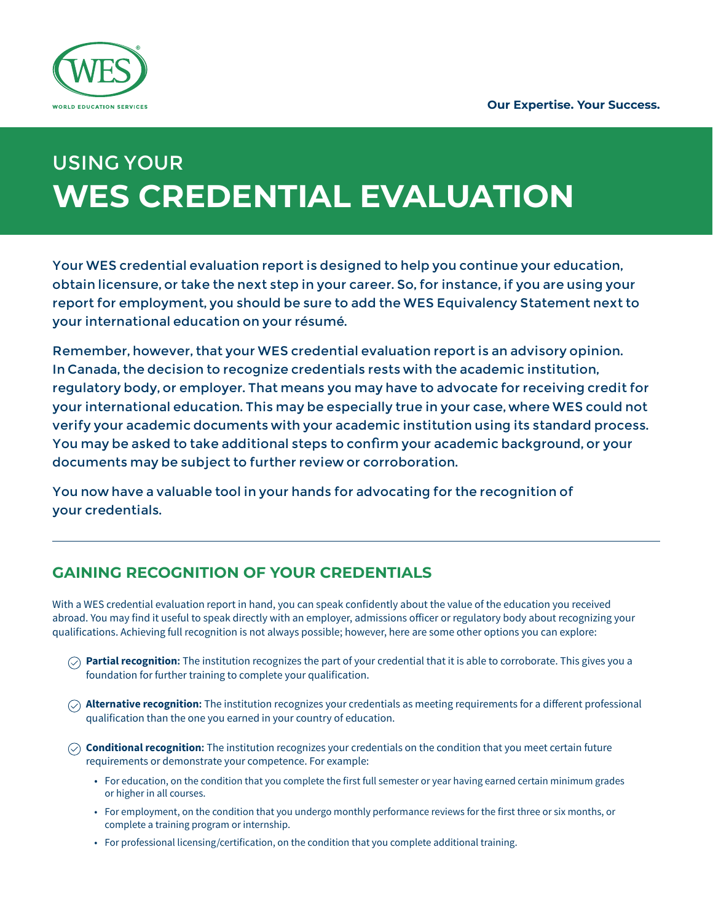

# USING YOUR **WES CREDENTIAL EVALUATION**

Your WES credential evaluation report is designed to help you continue your education, obtain licensure, or take the next step in your career. So, for instance, if you are using your report for employment, you should be sure to add the WES Equivalency Statement next to your international education on your résumé.

Remember, however, that your WES credential evaluation report is an advisory opinion. In Canada, the decision to recognize credentials rests with the academic institution, regulatory body, or employer. That means you may have to advocate for receiving credit for your international education. This may be especially true in your case, where WES could not verify your academic documents with your academic institution using its standard process. You may be asked to take additional steps to confirm your academic background, or your documents may be subject to further review or corroboration.

You now have a valuable tool in your hands for advocating for the recognition of your credentials.

# **GAINING RECOGNITION OF YOUR CREDENTIALS**

With a WES credential evaluation report in hand, you can speak confidently about the value of the education you received abroad. You may find it useful to speak directly with an employer, admissions officer or regulatory body about recognizing your qualifications. Achieving full recognition is not always possible; however, here are some other options you can explore:

- **Partial recognition:** The institution recognizes the part of your credential that it is able to corroborate. This gives you a foundation for further training to complete your qualification.
- **Alternative recognition:** The institution recognizes your credentials as meeting requirements for a different professional qualification than the one you earned in your country of education.
- **Conditional recognition:** The institution recognizes your credentials on the condition that you meet certain future requirements or demonstrate your competence. For example:
	- For education, on the condition that you complete the first full semester or year having earned certain minimum grades or higher in all courses.
	- For employment, on the condition that you undergo monthly performance reviews for the first three or six months, or complete a training program or internship.
	- For professional licensing/certification, on the condition that you complete additional training.